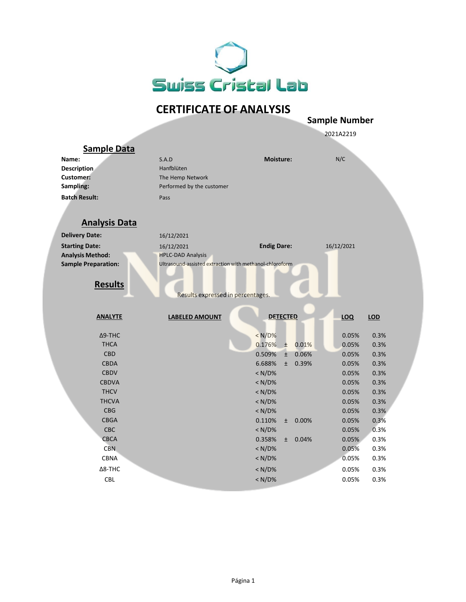

## **CERTIFICATE OF ANALYSIS**

|                            |                                                         | <b>Sample Number</b>     |               |  |
|----------------------------|---------------------------------------------------------|--------------------------|---------------|--|
|                            |                                                         |                          | 2021A2219     |  |
| <b>Sample Data</b>         |                                                         |                          |               |  |
| Name:                      | S.A.D                                                   | Moisture:                | N/C           |  |
| <b>Description</b>         | Hanfblüten                                              |                          |               |  |
| <b>Customer:</b>           | The Hemp Network                                        |                          |               |  |
| Sampling:                  | Performed by the customer                               |                          |               |  |
| <b>Batch Result:</b>       | Pass                                                    |                          |               |  |
| <b>Analysis Data</b>       |                                                         |                          |               |  |
| <b>Delivery Date:</b>      | 16/12/2021                                              |                          |               |  |
| <b>Starting Date:</b>      | 16/12/2021                                              | <b>Endig Dare:</b>       | 16/12/2021    |  |
| <b>Analysis Method:</b>    | <b>HPLC-DAD Analysis</b>                                |                          |               |  |
| <b>Sample Preparation:</b> | Ultrasound-assisted extraction with methanol-chloroform |                          |               |  |
|                            |                                                         |                          |               |  |
| <b>Results</b>             |                                                         |                          |               |  |
|                            | Results expressed in percentages.                       |                          |               |  |
|                            |                                                         |                          |               |  |
| <b>ANALYTE</b>             | <b>LABELED AMOUNT</b>                                   | <b>DETECTED</b>          | LOQ<br>LOD    |  |
|                            |                                                         |                          |               |  |
| $\Delta$ 9-THC             |                                                         | < N/D%                   | 0.05%<br>0.3% |  |
| <b>THCA</b>                |                                                         | 0.176%<br>0.01%<br>Ŧ     | 0.3%<br>0.05% |  |
| <b>CBD</b>                 |                                                         | 0.509%<br>0.06%<br>$\pm$ | 0.3%<br>0.05% |  |
| <b>CBDA</b>                |                                                         | 6.688%<br>0.39%<br>$\pm$ | 0.3%<br>0.05% |  |
| <b>CBDV</b>                |                                                         | $< N/D$ %                | 0.05%<br>0.3% |  |
| <b>CBDVA</b>               |                                                         | < N/D%                   | 0.3%<br>0.05% |  |
| <b>THCV</b>                |                                                         | $< N/D$ %                | 0.3%<br>0.05% |  |
| <b>THCVA</b>               |                                                         | $< N/D$ %                | 0.05%<br>0.3% |  |
| <b>CBG</b>                 |                                                         | < N/D%                   | 0.3%<br>0.05% |  |
| <b>CBGA</b>                |                                                         | 0.110%<br>0.00%<br>$\pm$ | 0.3%<br>0.05% |  |
| CBC                        |                                                         | $< N/D$ %                | 0.3%<br>0.05% |  |
| <b>CBCA</b>                |                                                         | 0.358%<br>0.04%<br>$\pm$ | 0.05%<br>0.3% |  |
| <b>CBN</b>                 |                                                         | $< N/D$ %                | 0.3%<br>0.05% |  |
| <b>CBNA</b>                |                                                         | < N/D%                   | 0.05%<br>0.3% |  |
| Δ8-THC                     |                                                         | $< N/D$ %                | 0.05%<br>0.3% |  |
| <b>CBL</b>                 |                                                         | $< N/D$ %                | 0.3%<br>0.05% |  |